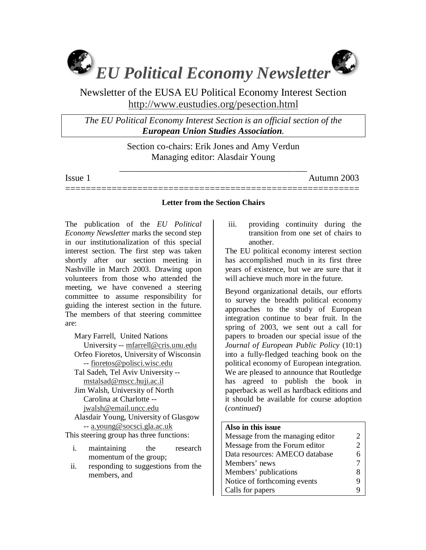

Newsletter of the EUSA EU Political Economy Interest Section http://www.eustudies.org/pesection.html

*The EU Political Economy Interest Section is an official section of the European Union Studies Association.* 

> Section co-chairs: Erik Jones and Amy Verdun Managing editor: Alasdair Young

\_\_\_\_\_\_\_\_\_\_\_\_\_\_\_\_\_\_\_\_\_\_\_\_\_\_\_\_\_\_\_\_\_\_\_\_\_\_\_\_\_

Issue 1 Autumn 2003

# ========================================================= **Letter from the Section Chairs**

The publication of the *EU Political Economy Newsletter* marks the second step in our institutionalization of this special interest section. The first step was taken shortly after our section meeting in Nashville in March 2003. Drawing upon volunteers from those who attended the meeting, we have convened a steering committee to assume responsibility for guiding the interest section in the future. The members of that steering committee are:

Mary Farrell, United Nations University -- mfarrell@cris.unu.edu Orfeo Fioretos, University of Wisconsin -- fioretos@polisci.wisc.edu Tal Sadeh, Tel Aviv University - mstalsad@mscc.huji.ac.il Jim Walsh, University of North Carolina at Charlotte - jwalsh@email.uncc.edu Alasdair Young, University of Glasgow -- a.young@socsci.gla.ac.uk This steering group has three functions:

- i. maintaining the research momentum of the group;
- ii. responding to suggestions from the members, and

iii. providing continuity during the transition from one set of chairs to another.

The EU political economy interest section has accomplished much in its first three years of existence, but we are sure that it will achieve much more in the future.

Beyond organizational details, our efforts to survey the breadth political economy approaches to the study of European integration continue to bear fruit. In the spring of 2003, we sent out a call for papers to broaden our special issue of the *Journal of European Public Policy* (10:1) into a fully-fledged teaching book on the political economy of European integration. We are pleased to announce that Routledge has agreed to publish the book in paperback as well as hardback editions and it should be available for course adoption (*continued*)

#### **Also in this issue**

| Message from the managing editor | 2 |
|----------------------------------|---|
| Message from the Forum editor    | 2 |
| Data resources: AMECO database   | 6 |
| Members' news                    |   |
| Members' publications            | 8 |
| Notice of forthcoming events     | 9 |
| Calls for papers                 |   |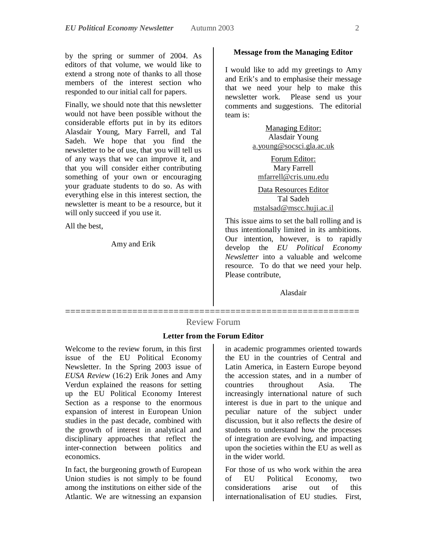by the spring or summer of 2004. As editors of that volume, we would like to extend a strong note of thanks to all those members of the interest section who responded to our initial call for papers.

Finally, we should note that this newsletter would not have been possible without the considerable efforts put in by its editors Alasdair Young, Mary Farrell, and Tal Sadeh. We hope that you find the newsletter to be of use, that you will tell us of any ways that we can improve it, and that you will consider either contributing something of your own or encouraging your graduate students to do so. As with everything else in this interest section, the newsletter is meant to be a resource, but it will only succeed if you use it.

All the best,

Amy and Erik

#### **Message from the Managing Editor**

I would like to add my greetings to Amy and Erik's and to emphasise their message that we need your help to make this newsletter work. Please send us your comments and suggestions. The editorial team is:

> Managing Editor: Alasdair Young a.young@socsci.gla.ac.uk

Forum Editor: Mary Farrell mfarrell@cris.unu.edu

Data Resources Editor Tal Sadeh mstalsad@mscc.huji.ac.il

This issue aims to set the ball rolling and is thus intentionally limited in its ambitions. Our intention, however, is to rapidly develop the *EU Political Economy Newsletter* into a valuable and welcome resource. To do that we need your help. Please contribute,

Alasdair

# ========================================================= Review Forum

### **Letter from the Forum Editor**

Welcome to the review forum, in this first issue of the EU Political Economy Newsletter. In the Spring 2003 issue of *EUSA Review* (16:2) Erik Jones and Amy Verdun explained the reasons for setting up the EU Political Economy Interest Section as a response to the enormous expansion of interest in European Union studies in the past decade, combined with the growth of interest in analytical and disciplinary approaches that reflect the inter-connection between politics and economics.

In fact, the burgeoning growth of European Union studies is not simply to be found among the institutions on either side of the Atlantic. We are witnessing an expansion

in academic programmes oriented towards the EU in the countries of Central and Latin America, in Eastern Europe beyond the accession states, and in a number of countries throughout Asia. The increasingly international nature of such interest is due in part to the unique and peculiar nature of the subject under discussion, but it also reflects the desire of students to understand how the processes of integration are evolving, and impacting upon the societies within the EU as well as in the wider world.

For those of us who work within the area of EU Political Economy, two considerations arise out of this internationalisation of EU studies. First,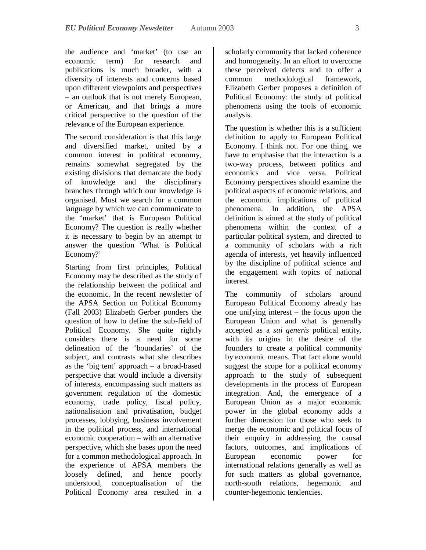the audience and 'market' (to use an economic term) for research and publications is much broader, with a diversity of interests and concerns based upon different viewpoints and perspectives – an outlook that is not merely European, or American, and that brings a more critical perspective to the question of the relevance of the European experience.

The second consideration is that this large and diversified market, united by a common interest in political economy, remains somewhat segregated by the existing divisions that demarcate the body of knowledge and the disciplinary branches through which our knowledge is organised. Must we search for a common language by which we can communicate to the 'market' that is European Political Economy? The question is really whether it is necessary to begin by an attempt to answer the question 'What is Political Economy?'

Starting from first principles, Political Economy may be described as the study of the relationship between the political and the economic. In the recent newsletter of the APSA Section on Political Economy (Fall 2003) Elizabeth Gerber ponders the question of how to define the sub-field of Political Economy. She quite rightly considers there is a need for some delineation of the 'boundaries' of the subject, and contrasts what she describes as the 'big tent' approach – a broad-based perspective that would include a diversity of interests, encompassing such matters as government regulation of the domestic economy, trade policy, fiscal policy, nationalisation and privatisation, budget processes, lobbying, business involvement in the political process, and international economic cooperation – with an alternative perspective, which she bases upon the need for a common methodological approach. In the experience of APSA members the loosely defined, and hence poorly understood, conceptualisation of the Political Economy area resulted in a

scholarly community that lacked coherence and homogeneity. In an effort to overcome these perceived defects and to offer a common methodological framework, Elizabeth Gerber proposes a definition of Political Economy: the study of political phenomena using the tools of economic analysis.

The question is whether this is a sufficient definition to apply to European Political Economy. I think not. For one thing, we have to emphasise that the interaction is a two-way process, between politics and economics and vice versa. Political Economy perspectives should examine the political aspects of economic relations, and the economic implications of political phenomena. In addition, the APSA definition is aimed at the study of political phenomena within the context of a particular political system, and directed to a community of scholars with a rich agenda of interests, yet heavily influenced by the discipline of political science and the engagement with topics of national interest.

The community of scholars around European Political Economy already has one unifying interest – the focus upon the European Union and what is generally accepted as a *sui generis* political entity, with its origins in the desire of the founders to create a political community by economic means. That fact alone would suggest the scope for a political economy approach to the study of subsequent developments in the process of European integration. And, the emergence of a European Union as a major economic power in the global economy adds a further dimension for those who seek to merge the economic and political focus of their enquiry in addressing the causal factors, outcomes, and implications of European economic power for international relations generally as well as for such matters as global governance, north-south relations, hegemonic and counter-hegemonic tendencies.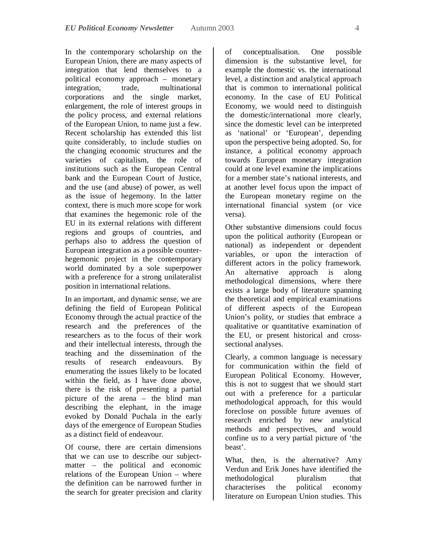In the contemporary scholarship on the European Union, there are many aspects of integration that lend themselves to a political economy approach – monetary integration, trade, multinational corporations and the single market, enlargement, the role of interest groups in the policy process, and external relations of the European Union, to name just a few. Recent scholarship has extended this list quite considerably, to include studies on the changing economic structures and the varieties of capitalism, the role of institutions such as the European Central bank and the European Court of Justice, and the use (and abuse) of power, as well as the issue of hegemony. In the latter context, there is much more scope for work that examines the hegemonic role of the EU in its external relations with different regions and groups of countries, and perhaps also to address the question of European integration as a possible counterhegemonic project in the contemporary world dominated by a sole superpower with a preference for a strong unilateralist position in international relations.

In an important, and dynamic sense, we are defining the field of European Political Economy through the actual practice of the research and the preferences of the researchers as to the focus of their work and their intellectual interests, through the teaching and the dissemination of the results of research endeavours. By enumerating the issues likely to be located within the field, as I have done above, there is the risk of presenting a partial picture of the arena – the blind man describing the elephant, in the image evoked by Donald Puchala in the early days of the emergence of European Studies as a distinct field of endeavour.

Of course, there are certain dimensions that we can use to describe our subjectmatter – the political and economic relations of the European Union – where the definition can be narrowed further in the search for greater precision and clarity

of conceptualisation. One possible dimension is the substantive level, for example the domestic vs. the international level, a distinction and analytical approach that is common to international political economy. In the case of EU Political Economy, we would need to distinguish the domestic/international more clearly, since the domestic level can be interpreted as 'national' or 'European', depending upon the perspective being adopted. So, for instance, a political economy approach towards European monetary integration could at one level examine the implications for a member state's national interests, and at another level focus upon the impact of the European monetary regime on the international financial system (or vice versa).

Other substantive dimensions could focus upon the political authority (European or national) as independent or dependent variables, or upon the interaction of different actors in the policy framework. An alternative approach is along methodological dimensions, where there exists a large body of literature spanning the theoretical and empirical examinations of different aspects of the European Union's polity, or studies that embrace a qualitative or quantitative examination of the EU, or present historical and crosssectional analyses.

Clearly, a common language is necessary for communication within the field of European Political Economy. However, this is not to suggest that we should start out with a preference for a particular methodological approach, for this would foreclose on possible future avenues of research enriched by new analytical methods and perspectives, and would confine us to a very partial picture of 'the beast'.

What, then, is the alternative? Amy Verdun and Erik Jones have identified the methodological pluralism that characterises the political economy literature on European Union studies. This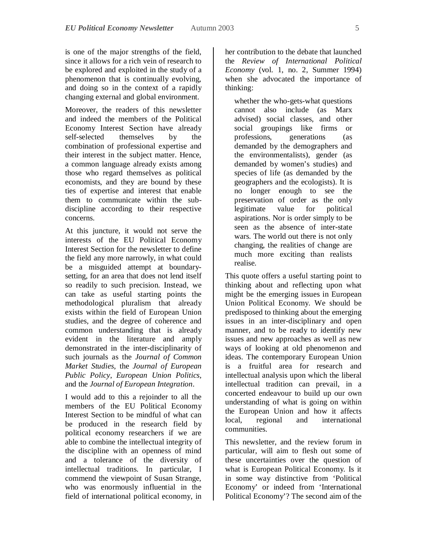is one of the major strengths of the field, since it allows for a rich vein of research to be explored and exploited in the study of a phenomenon that is continually evolving, and doing so in the context of a rapidly changing external and global environment.

Moreover, the readers of this newsletter and indeed the members of the Political Economy Interest Section have already self-selected themselves by the combination of professional expertise and their interest in the subject matter. Hence, a common language already exists among those who regard themselves as political economists, and they are bound by these ties of expertise and interest that enable them to communicate within the subdiscipline according to their respective concerns.

At this juncture, it would not serve the interests of the EU Political Economy Interest Section for the newsletter to define the field any more narrowly, in what could be a misguided attempt at boundarysetting, for an area that does not lend itself so readily to such precision. Instead, we can take as useful starting points the methodological pluralism that already exists within the field of European Union studies, and the degree of coherence and common understanding that is already evident in the literature and amply demonstrated in the inter-disciplinarity of such journals as the *Journal of Common Market Studies*, the *Journal of European Public Policy*, *European Union Politics*, and the *Journal of European Integration*.

I would add to this a rejoinder to all the members of the EU Political Economy Interest Section to be mindful of what can be produced in the research field by political economy researchers if we are able to combine the intellectual integrity of the discipline with an openness of mind and a tolerance of the diversity of intellectual traditions. In particular, I commend the viewpoint of Susan Strange, who was enormously influential in the field of international political economy, in

her contribution to the debate that launched the *Review of International Political Economy* (vol. 1, no. 2, Summer 1994) when she advocated the importance of thinking:

whether the who-gets-what questions cannot also include (as Marx advised) social classes, and other social groupings like firms or professions, generations (as demanded by the demographers and the environmentalists), gender (as demanded by women's studies) and species of life (as demanded by the geographers and the ecologists). It is no longer enough to see the preservation of order as the only legitimate value for political aspirations. Nor is order simply to be seen as the absence of inter-state wars. The world out there is not only changing, the realities of change are much more exciting than realists realise.

This quote offers a useful starting point to thinking about and reflecting upon what might be the emerging issues in European Union Political Economy. We should be predisposed to thinking about the emerging issues in an inter-disciplinary and open manner, and to be ready to identify new issues and new approaches as well as new ways of looking at old phenomenon and ideas. The contemporary European Union is a fruitful area for research and intellectual analysis upon which the liberal intellectual tradition can prevail, in a concerted endeavour to build up our own understanding of what is going on within the European Union and how it affects local, regional and international communities.

This newsletter, and the review forum in particular, will aim to flesh out some of these uncertainties over the question of what is European Political Economy. Is it in some way distinctive from 'Political Economy' or indeed from 'International Political Economy'? The second aim of the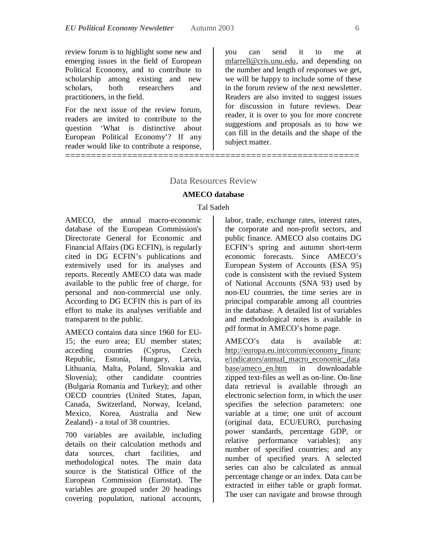review forum is to highlight some new and emerging issues in the field of European Political Economy, and to contribute to scholarship among existing and new scholars, both researchers and practitioners, in the field.

For the next issue of the review forum, readers are invited to contribute to the question 'What is distinctive about European Political Economy'? If any reader would like to contribute a response,

you can send it to me at mfarrell@cris.unu.edu, and depending on the number and length of responses we get, we will be happy to include some of these in the forum review of the next newsletter. Readers are also invited to suggest issues for discussion in future reviews. Dear reader, it is over to you for more concrete suggestions and proposals as to how we can fill in the details and the shape of the subject matter.

#### Data Resources Review

=========================================================

#### **AMECO database**

#### Tal Sadeh

AMECO, the annual macro-economic database of the European Commission's Directorate General for Economic and Financial Affairs (DG ECFIN), is regularly cited in DG ECFIN's publications and extensively used for its analyses and reports. Recently AMECO data was made available to the public free of charge, for personal and non-commercial use only. According to DG ECFIN this is part of its effort to make its analyses verifiable and transparent to the public.

AMECO contains data since 1960 for EU-15; the euro area; EU member states; acceding countries (Cyprus, Czech Republic, Estonia, Hungary, Latvia, Lithuania, Malta, Poland, Slovakia and Slovenia); other candidate countries (Bulgaria Romania and Turkey); and other OECD countries (United States, Japan, Canada, Switzerland, Norway, Iceland, Mexico, Korea, Australia and New Zealand) - a total of 38 countries.

700 variables are available, including details on their calculation methods and data sources, chart facilities, and methodological notes. The main data source is the Statistical Office of the European Commission (Eurostat). The variables are grouped under 20 headings covering population, national accounts,

labor, trade, exchange rates, interest rates, the corporate and non-profit sectors, and public finance. AMECO also contains DG ECFIN's spring and autumn short-term economic forecasts. Since AMECO's European System of Accounts (ESA 95) code is consistent with the revised System of National Accounts (SNA 93) used by non-EU countries, the time series are in principal comparable among all countries in the database. A detailed list of variables and methodological notes is available in pdf format in AMECO's home page.

AMECO's data is available at: http://europa.eu.int/comm/economy\_financ e/indicators/annual\_macro\_economic\_data base/ameco\_en.htm in downloadable zipped text-files as well as on-line. On-line data retrieval is available through an electronic selection form, in which the user specifies the selection parameters: one variable at a time; one unit of account (original data, ECU/EURO, purchasing power standards, percentage GDP, or relative performance variables); any number of specified countries; and any number of specified years. A selected series can also be calculated as annual percentage change or an index. Data can be extracted in either table or graph format. The user can navigate and browse through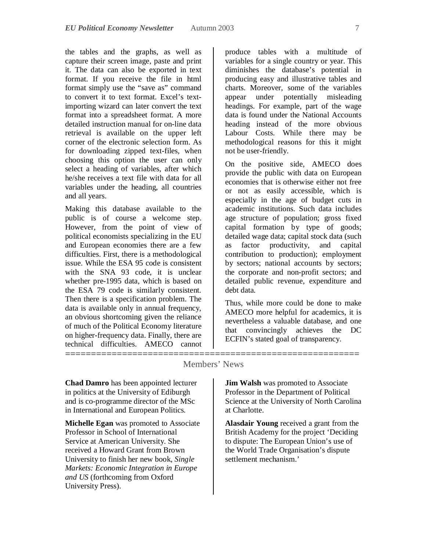the tables and the graphs, as well as capture their screen image, paste and print it. The data can also be exported in text format. If you receive the file in html format simply use the "save as" command to convert it to text format. Excel's textimporting wizard can later convert the text format into a spreadsheet format. A more detailed instruction manual for on-line data retrieval is available on the upper left corner of the electronic selection form. As for downloading zipped text-files, when choosing this option the user can only select a heading of variables, after which he/she receives a text file with data for all variables under the heading, all countries and all years.

Making this database available to the public is of course a welcome step. However, from the point of view of political economists specializing in the EU and European economies there are a few difficulties. First, there is a methodological issue. While the ESA 95 code is consistent with the SNA 93 code, it is unclear whether pre-1995 data, which is based on the ESA 79 code is similarly consistent. Then there is a specification problem. The data is available only in annual frequency, an obvious shortcoming given the reliance of much of the Political Economy literature on higher-frequency data. Finally, there are technical difficulties. AMECO cannot

produce tables with a multitude of variables for a single country or year. This diminishes the database's potential in producing easy and illustrative tables and charts. Moreover, some of the variables appear under potentially misleading headings. For example, part of the wage data is found under the National Accounts heading instead of the more obvious Labour Costs. While there may be methodological reasons for this it might not be user-friendly.

On the positive side, AMECO does provide the public with data on European economies that is otherwise either not free or not as easily accessible, which is especially in the age of budget cuts in academic institutions. Such data includes age structure of population; gross fixed capital formation by type of goods; detailed wage data; capital stock data (such as factor productivity, and capital contribution to production); employment by sectors; national accounts by sectors; the corporate and non-profit sectors; and detailed public revenue, expenditure and debt data.

Thus, while more could be done to make AMECO more helpful for academics, it is nevertheless a valuable database, and one that convincingly achieves the DC ECFIN's stated goal of transparency.

### Members' News

**Chad Damro** has been appointed lecturer in politics at the University of Ediburgh and is co-programme director of the MSc in International and European Politics.

=========================================================

**Michelle Egan** was promoted to Associate Professor in School of International Service at American University. She received a Howard Grant from Brown University to finish her new book, *Single Markets: Economic Integration in Europe and US* (forthcoming from Oxford University Press).

**Jim Walsh** was promoted to Associate Professor in the Department of Political Science at the University of North Carolina at Charlotte.

**Alasdair Young** received a grant from the British Academy for the project 'Deciding to dispute: The European Union's use of the World Trade Organisation's dispute settlement mechanism.'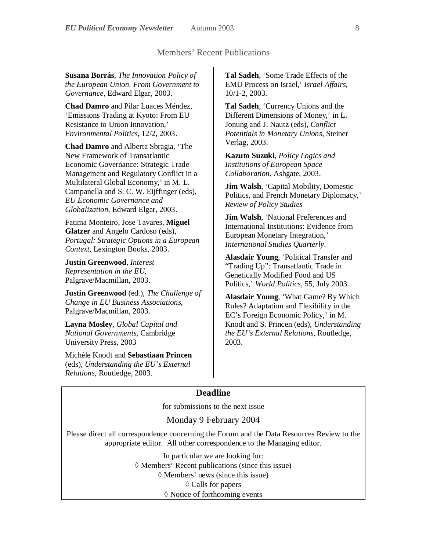### Members' Recent Publications

**Susana Borrás**, *The Innovation Policy of the European Union. From Government to Governance*, Edward Elgar, 2003.

**Chad Damro** and Pilar Luaces Méndez, 'Emissions Trading at Kyoto: From EU Resistance to Union Innovation,' *Environmental Politics*, 12/2, 2003.

**Chad Damro** and Alberta Sbragia, 'The New Framework of Transatlantic Economic Governance: Strategic Trade Management and Regulatory Conflict in a Multilateral Global Economy,' in M. L. Campanella and S. C. W. Eijffinger (eds), *EU Economic Governance and Globalization*, Edward Elgar, 2003.

Fatima Monteiro, Jose Tavares, **Miguel Glatzer** and Angelo Cardoso (eds), *Portugal: Strategic Options in a European Context*, Lexington Books, 2003.

**Justin Greenwood**, *Interest Representation in the EU*, Palgrave/Macmillan, 2003.

**Justin Greenwood** (ed.), *The Challenge of Change in EU Business Associations*, Palgrave/Macmillan, 2003.

**Layna Mosley**, *Global Capital and National Governments*, Cambridge University Press, 2003

Michèle Knodt and **Sebastiaan Princen** (eds), *Understanding the EU's External Relations*, Routledge, 2003.

**Tal Sadeh**, 'Some Trade Effects of the EMU Process on Israel,' *Israel Affairs*, 10/1-2, 2003.

**Tal Sadeh**, 'Currency Unions and the Different Dimensions of Money,' in L. Jonung and J. Nautz (eds), *Conflict Potentials in Monetary Unions*, Steiner Verlag, 2003.

**Kazuto Suzuki**, *Policy Logics and Institutions of European Space Collaboration*, Ashgate, 2003.

**Jim Walsh**, 'Capital Mobility, Domestic Politics, and French Monetary Diplomacy,' *Review of Policy Studies*

**Jim Walsh.** 'National Preferences and International Institutions: Evidence from European Monetary Integration,' *International Studies Quarterly*.

**Alasdair Young**, 'Political Transfer and "Trading Up": Transatlantic Trade in Genetically Modified Food and US Politics,' *World Politics*, 55, July 2003.

**Alasdair Young**, 'What Game? By Which Rules? Adaptation and Flexibility in the EC's Foreign Economic Policy,' in M. Knodt and S. Princen (eds), *Understanding the EU's External Relations*, Routledge, 2003.

# **Deadline**

for submissions to the next issue

#### Monday 9 February 2004

Please direct all correspondence concerning the Forum and the Data Resources Review to the appropriate editor. All other correspondence to the Managing editor.

> In particular we are looking for:  $\Diamond$  Members' Recent publications (since this issue)  $\Diamond$  Members' news (since this issue)  $\Diamond$  Calls for papers  $\Diamond$  Notice of forthcoming events